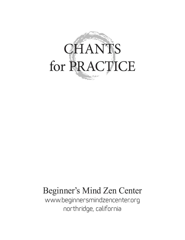

# Beginner's Mind Zen Center

www.beginnersmindzencenter.org northridge, california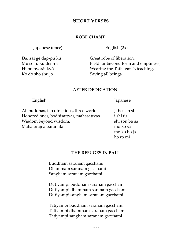#### **SHORT VERSES**

#### **ROBE CHANT**

#### Japanese (once) English (2x)

Kō do sho shu jō Saving all beings.

Dāi zāi ge dap-pu kū Great robe of liberation, Mu sō fu ku dēn-ne Field far beyond form and emptiness, Hi bu nyorāi kyō Wearing the Tathagata's teaching,

#### **AFTER DEDICATION**

#### English Japanese

All buddhas, ten directions, three worlds Ji ho san shi Honored ones, bodhisattvas, mahasattvas i shi fu Wisdom beyond wisdom, shi son bu sa Maha prajna paramita mo ko sa

mo ko ho ja ho ro mi

#### **THE REFUGES IN PALI**

Buddham saranam gacchami Dhammam saranam gacchami Sangham saranam gacchami

Dutiyampi buddham saranam gacchami Dutiyampi dhammam saranam gacchami Dutiyampi sangham saranam gacchami

Tatiyampi buddham saranam gacchami Tatiyampi dhammam saranam gacchami Tatiyampi sangham saranam gacchami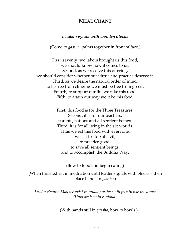#### **MEAL CHANT**

#### *Leader signals with wooden blocks*

(Come to *gassho*: palms together in front of face.)

First, seventy two labors brought us this food, we should know how it comes to us. Second, as we receive this offering, we should consider whether our virtue and practice deserve it. Third, as we desire the natural order of mind, to be free from clinging we must be free from greed. Fourth, to support our life we take this food. Fifth, to attain our way we take this food.

> First, this food is for the Three Treasures. Second, it is for our teachers, parents, nations and all sentient beings. Third, it is for all being in the six worlds. Thus we eat this food with everyone; we eat to stop all evil, to practice good, to save all sentient beings, and to accomplish the Buddha Way.

> > (Bow to food and begin eating)

(When finished, sit in meditation until leader signals with blocks – then place hands in *gassho*.)

*Leader chants: May we exist in muddy water with purity like the lotus; Thus we bow to Buddha.*

(With hands still in *gassho*, bow to bowls.)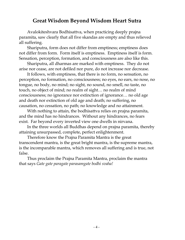#### **Great Wisdom Beyond Wisdom Heart Sutra**

Avalokiteshvara Bodhisattva, when practicing deeply prajna paramita, saw clearly that all five skandas are empty and thus relieved all suffering.

Shariputra, form does not differ from emptiness; emptiness does not differ from form. Form itself is emptiness. Emptiness itself is form. Sensation, perception, formation, and consciousness are also like this.

Shariputra, all dharmas are marked with emptiness. They do not arise nor cease, are not defiled nor pure, do not increase nor decrease.

It follows, with emptiness, that there is no form, no sensation, no perception, no formation, no consciousness; no eyes, no ears, no nose, no tongue, no body, no mind; no sight, no sound, no smell, no taste, no touch, no object of mind; no realm of sight… no realm of mind consciousness; no ignorance nor extinction of ignorance… no old age and death nor extinction of old age and death; no suffering, no causation, no cessation, no path; no knowledge and no attainment.

With nothing to attain, the bodhisattva relies on prajna paramita, and the mind has no hindrances. Without any hindrances, no fears exist. Far beyond every inverted view one dwells in nirvana.

In the three worlds all Buddhas depend on prajna paramita, thereby attaining unsurpassed, complete, perfect enlightenment.

Therefore know the Prajna Paramita Mantra is the great transcendent mantra, is the great bright mantra, is the supreme mantra, is the incomparable mantra, which removes all suffering and is true, not false.

Thus proclaim the Prajna Paramita Mantra, proclaim the mantra that says *Gate gate paragate parasamgate bodhi svaha!*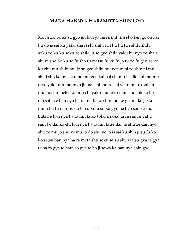#### **MAKA HĀNNYA HARAMĪTTA SHĪN GYŌ**

Kan ji zai bo satsu gyo jin han ya ha ra mit ta ji sho ken go on kai ku do is sai ku yaku sha ri shi shiki fu i ku ku fu i shiki shiki soku ze ku ku soku ze shiki ju so gyo shiki yaku bu nyo ze sha ri shi ze sho ho ku so fu sho fu metsu fu ku fu jo fu zo fu gen ze ko ku chu mu shiki mu jo so gyo shiki mu gen ni bi ze shin ni mu shiki sho ko mi soku ho mu gen kai nai shi mu i shiki kai mu mu myo yaku mu mu myo jin nai shi mu ro shi yaku mu ro shi jin mu ku shu metsu do mu chi yaku mu toku i mu sho tok ko bo dai sat ta e han nya ha ra mit ta ko shin mu ke ge mu ke ge ko mu u ku fu on ri is sai ten do mu so ku gyo ne han san ze sho butsu e han nya ha ra mit ta ko toku a noku ta ra sam myaku sam bo dai ko chi han nya ha ra mit ta ze dai jin shu ze dai myo shu ze mu jo shu ze mu to do shu no jo is sai ku shin jitsu fu ko ko setsu han nya ha ra mi ta shu soku setsu shu watsu gya te gya te ha ra gya te hara so gya te bo ji sowa ka han nya shin gyo.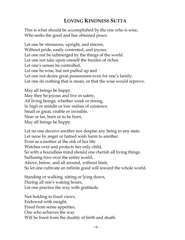# **LOVING KINDNESS SUTTA**

This is what should be accomplished by the one who is wise, Who seeks the good and has obtained peace.

Let one be strenuous, upright, and sincere, Without pride, easily contented, and joyous. Let one not be submerged by the things of the world. Let one not take upon oneself the burden of riches. Let one's senses be controlled. Let one be wise, but not puffed up and Let one not desire great possessions even for one's family. Let one do nothing that is mean, or that the wise would reprove.

May all beings be happy. May they be joyous and live in safety, All living beings, whether weak or strong, In high or middle or low realms of existence. Small or great, visible or invisible, Near or far, born or to be born, May all beings be happy.

Let no one deceive another nor despise any being in any state. Let none by anger or hatred wish harm to another. Even as a mother at the risk of her life Watches over and protects her only child, So with a boundless mind should one cherish all living things. Suffusing love over the entire world, Above, below, and all around, without limit, So let one cultivate an infinite good will toward the whole world.

Standing or walking, sitting or lying down, During all one's waking hours, Let one practice the way with gratitude.

Not holding to fixed views, Endowed with insight, Freed from sense appetites, One who achieves the way Will be freed from the duality of birth and death.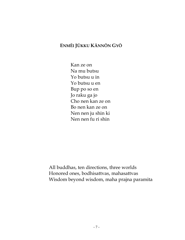#### **ENMĒI JŪKKU KĀNNŌN GYŌ**

Kan ze on Na mu butsu Yo butsu u in Yo butsu u en Bup po so en Jo raku ga jo Cho nen kan ze on Bo nen kan ze on Nen nen ju shin ki Nen nen fu ri shin

All buddhas, ten directions, three worlds Honored ones, bodhisattvas, mahasattvas Wisdom beyond wisdom, maha prajna paramita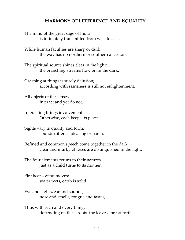### **HARMONY OF DIFFERENCE AND EQUALITY**

The mind of the great sage of India is intimately transmitted from west to east.

While human faculties are sharp or dull; the way has no northern or southern ancestors.

The spiritual source shines clear in the light; the branching streams flow on in the dark.

Grasping at things is surely delusion; according with sameness is still not enlightenment.

All objects of the senses interact and yet do not.

Interacting brings involvement. Otherwise, each keeps its place.

Sights vary in quality and form; sounds differ as pleasing or harsh.

Refined and common speech come together in the dark; clear and murky phrases are distinguished in the light.

The four elements return to their natures just as a child turns to its mother.

Fire heats, wind moves; water wets, earth is solid.

Eye and sights, ear and sounds; nose and smells, tongue and tastes;

Thus with each and every thing; depending on these roots, the leaves spread forth.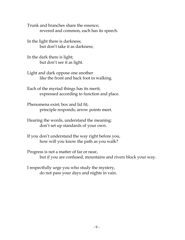Trunk and branches share the essence; revered and common, each has its speech.

In the light there is darkness; but don't take it as darkness;

In the dark there is light; but don't see it as light.

Light and dark oppose one another like the front and back foot in walking.

Each of the myriad things has its merit; expressed according to function and place.

Phenomena exist; box and lid fit; principle responds; arrow points meet.

Hearing the words, understand the meaning; don't set up standards of your own.

If you don't understand the way right before you, how will you know the path as you walk?

Progress is not a matter of far or near, but if you are confused, mountains and rivers block your way.

I respectfully urge you who study the mystery, do not pass your days and nights in vain.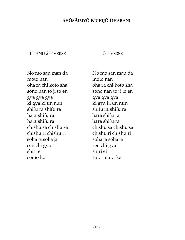#### **SHŌSĀIMYŌ KICHIJŌ DHARANI**

#### 1<sup>ST</sup> AND <sup>2ND</sup> VERSE 3RD VERSE

moto nan moto nan oha ra chi koto sha oha ra chi koto sha sono nan to ji to en sono nan to ji to en gya gya gya gya gya gya ki gya ki un nun ki gya ki un nun shifu ra shifu ra shifu ra shifu ra hara shifu ra hara shifu ra hara shifu ra hara shifu ra chishu sa chishu sa chishu sa chishu sa chishu ri chishu ri chishu ri chishu ri soha ja soha ja soha ja soha ja sen chi gya sen chi gya shiri ei shiri ei somo ko so… mo… ko

No mo san man da No mo san man da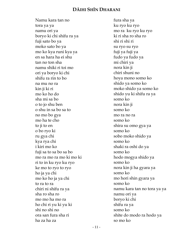#### **DĀIHI SHĪN DHARANI**

Namu kara tan no tora ya ya namu ori ya boryo ki chi shifu ra ya fuji sato bo ya moko sato bo ya mo ko kya runi kya ya en sa hara ha ei shu tan no ton sha namu shiki ri toi mo ori ya boryo ki chi shifu ra rin to bo na mu no ra kin ji ki ri mo ko ho do sha mi sa bo o to jo shu ben o shu in sa bo sa to no mo bo gya mo ha te cho to ji to en o bo ryo ki ru gya chi kya rya chi i kiri mo ko fuji sa to sa bo sa bo mo ra mo ra mo ki mo ki ri to in ku ryo ku ryo ke mo to ryo to ryo ho ja ya chi mo ko ho ja ya chi to ra to ra chiri ni shifu ra ya sha ro sha ro mo mo ha mo ra ho chi ri yu ki yu ki shi no shi no ora san fura sha ri ha za ha za

fura sha ya ku ryo ku ryo mo ra ku ryo ku ryo ki ri sha ro sha ro shi ri shi ri su ryo su ryo fuji ya fuji ya fudo ya fudo ya mi chiri ya nora kin ji chiri shuni no hoya mono somo ko shido ya somo ko moko shido ya somo ko shido yu ki shifu ra ya somo ko nora kin ji somo ko mo ra no ra somo ko shira su omo gya ya somo ko sobo moko shido ya somo ko shaki ra oshi do ya somo ko hodo mogya shido ya somo ko nora kin ji ha gyara ya somo ko mo hori shin gyara ya somo ko namu kara tan no tora ya ya namu ori ya boryo ki chi shifu ra ya somo ko shite do modo ra hodo ya so mo ko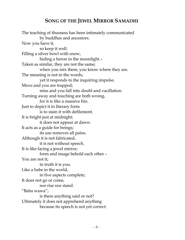# **SONG OF THE JEWEL MIRROR SAMADHI**

The teaching of thusness has been intimately communicated by buddhas and ancestors. Now you have it, so keep it well. Filling a silver bowl with snow, hiding a heron in the moonlight – Taken as similar, they are not the same; when you mix them, you know where they are. The meaning is not in the words, yet it responds to the inquiring impulse. Move and you are trapped; miss and you fall into doubt and vacillation. Turning away and touching are both wrong, for it is like a massive fire. Just to depict it in literary form is to stain it with defilement. It is bright just at midnight; it does not appear at dawn. It acts as a guide for beings; its use removes all pains. Although it is not fabricated, it is not without speech. It is like facing a jewel mirror; form and image behold each other – You are not it; in truth it is you. Like a babe in the world, in five aspects complete; It does not go or come, nor rise nor stand. "Baba wawa"; is there anything said or not? Ultimately it does not apprehend anything because its speech is not yet correct.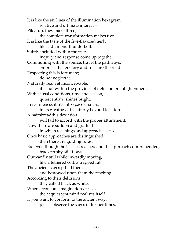It is like the six lines of the illumination hexagram: relative and ultimate interact – Piled up, they make three; the complete transformation makes five. It is like the taste of the five-flavored herb, like a diamond thunderbolt. Subtly included within the true, inquiry and response come up together. Communing with the source, travel the pathways; embrace the territory and treasure the road. Respecting this is fortunate; do not neglect it. Naturally real yet inconceivable, it is not within the province of delusion or enlightenment. With causal conditions, time and season, quiescently it shines bright. In its fineness it fits into spacelessness; in its greatness it is utterly beyond location. A hairsbreadth's deviation will fail to accord with the proper attunement. Now there are sudden and gradual in which teachings and approaches arise. Once basic approaches are distinguished, then there are guiding rules. But even though the basis is reached and the approach comprehended, true eternity still flows. Outwardly still while inwardly moving, like a tethered colt, a trapped rat. The ancient sages pitied them and bestowed upon them the teaching. According to their delusions, they called black as white; When erroneous imaginations cease, the acquiescent mind realizes itself. If you want to conform to the ancient way, please observe the sages of former times.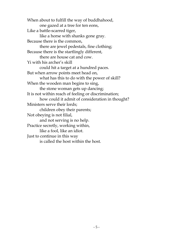When about to fulfill the way of buddhahood, one gazed at a tree for ten eons, Like a battle-scarred tiger, like a horse with shanks gone gray. Because there is the common, there are jewel pedestals, fine clothing; Because there is the startlingly different, there are house cat and cow. Yi with his archer's skill could hit a target at a hundred paces. But when arrow points meet head on, what has this to do with the power of skill? When the wooden man begins to sing, the stone woman gets up dancing; It is not within reach of feeling or discrimination; how could it admit of consideration in thought? Ministers serve their lords; children obey their parents; Not obeying is not filial, and not serving is no help. Practice secretly, working within, like a fool, like an idiot. Just to continue in this way is called the host within the host.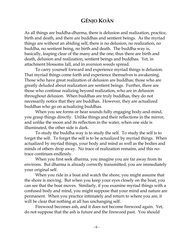# **GĒNJO KOĀN**

As all things are buddha-dharma, there is delusion and realization, practice, birth and death, and there are buddhas and sentient beings. As the myriad things are without an abiding self, there is no delusion, no realization, no buddha, no sentient being, no birth and death. The buddha way is, basically, leaping clear of the many and the one; thus there are birth and death, delusion and realization, sentient beings and buddhas. Yet, in attachment blossoms fall, and in aversion weeds spread.

To carry yourself forward and experience myriad things is delusion. That myriad things come forth and experience themselves is awakening. Those who have great realization of delusion are buddhas; those who are greatly deluded about realization are sentient beings. Further, there are those who continue realizing beyond realization, who are in delusion throughout delusion. When buddhas are truly buddhas, they do not necessarily notice that they are buddhas. However, they are actualized buddhas who go on actualizing buddhas.

When you see forms or hear sounds fully engaging body-and-mind, you grasp things directly. Unlike things and their reflections in the mirror, and unlike the moon and its reflection in the water, when one side is illuminated, the other side is dark.

To study the buddha way is to study the self. To study the self is to forget the self. To forget the self is to be actualized by myriad things. When actualized by myriad things, your body and mind as well as the bodies and minds of others drop away. No trace of realization remains, and this notrace continues endlessly.

When you first seek dharma, you imagine you are far away from its environs. But dharma is already correctly transmitted; you are immediately your original self.

When you ride in a boat and watch the shore, you might assume that the shore is moving. But when you keep your eyes closely on the boat, you can see that the boat moves. Similarly, if you examine myriad things with a confused body and mind, you might suppose that your mind and nature are permanent. When you practice intimately and return to where you are, it will be clear that nothing at all has unchanging self.

Firewood becomes ash, and it does not become firewood again. Yet, do not suppose that the ash is future and the firewood past. You should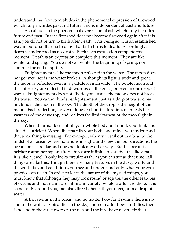understand that firewood abides in the phenomenal expression of firewood which fully includes past and future, and is independent of past and future.

Ash abides in the phenomenal expression of ash which fully includes future and past. Just as firewood does not become firewood again after it is ash, you do not return to birth after death. This being so, it is an established way in buddha-dharma to deny that birth turns to death. Accordingly, death is understood as no-death. Birth is an expression complete this moment. Death is an expression complete this moment. They are like winter and spring. You do not call winter the beginning of spring, nor summer the end of spring.

Enlightenment is like the moon reflected in the water. The moon does not get wet, nor is the water broken. Although its light is wide and great, the moon is reflected even in a puddle an inch wide. The whole moon and the entire sky are reflected in dewdrops on the grass, or even in one drop of water. Enlightenment does not divide you, just as the moon does not break the water. You cannot hinder enlightenment, just as a drop of water does not hinder the moon in the sky. The depth of the drop is the height of the moon. Each reflection, however long or short its duration, manifests the vastness of the dewdrop, and realizes the limitlessness of the moonlight in the sky.

When dharma does not fill your whole body and mind, you think it is already sufficient. When dharma fills your body and mind, you understand that something is missing. For example, when you sail out in a boat to the midst of an ocean where no land is in sight, and view the four directions, the ocean looks circular and does not look any other way. But the ocean is neither round nor square; its features are infinite in variety. It is like a palace. It is like a jewel. It only looks circular as far as you can see at that time. All things are like this. Though there are many features in the dusty world and the world beyond conditions, you see and understand only what your eye of practice can reach. In order to learn the nature of the myriad things, you must know that although they may look round or square, the other features of oceans and mountains are infinite in variety; whole worlds are there. It is so not only around you, but also directly beneath your feet, or in a drop of water.

A fish swims in the ocean, and no matter how far it swims there is no end to the water. A bird flies in the sky, and no matter how far it flies, there is no end to the air. However, the fish and the bird have never left their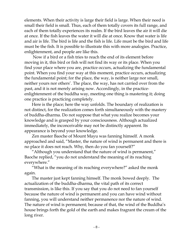elements. When their activity is large their field is large. When their need is small their field is small. Thus, each of them totally covers its full range, and each of them totally experiences its realm. If the bird leaves the air it will die at once. If the fish leaves the water it will die at once. Know that water is life and air is life. The bird is life and the fish is life. Life must be the bird and life must be the fish. It is possible to illustrate this with more analogies. Practice, enlightenment, and people are like this.

 Now if a bird or a fish tries to reach the end of its element before moving in it, this bird or fish will not find its way or its place. When you find your place where you are, practice occurs, actualizing the fundamental point. When you find your way at this moment, practice occurs, actualizing the fundamental point; for the place, the way, is neither large nor small, neither yours nor others'. The place, the way, has not carried over from the past, and it is not merely arising now. Accordingly, in the practiceenlightenment of the buddha way, meeting one thing is mastering it; doing one practice is practicing completely.

 Here is the place; here the way unfolds. The boundary of realization is not distinct, for the realization comes forth simultaneously with the mastery of buddha-dharma. Do not suppose that what you realize becomes your knowledge and is grasped by your consciousness. Although actualized immediately, the inconceivable may not be distinctly apparent. Its appearance is beyond your knowledge.

 Zen master Baoche of Mount Mayu was fanning himself. A monk approached and said, "Master, the nature of wind is permanent and there is no place it does not reach. Why, then do you fan yourself?"

 "Although you understand that the nature of wind is permanent," Baoche replied, "you do not understand the meaning of its reaching everywhere."

 "What is the meaning of its reaching everywhere?" asked the monk again.

 The master just kept fanning himself. The monk bowed deeply. The actualization of the buddha-dharma, the vital path of its correct transmission, is like this. If you say that you do not need to fan yourself because the nature of wind is permanent and you can have wind without fanning, you will understand neither permanence nor the nature of wind. The nature of wind is permanent; because of that, the wind of the Buddha's house brings forth the gold of the earth and makes fragrant the cream of the long river.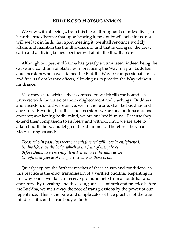# **ĒIHĒI KOSO HOTSUGĀNMŌN**

 We vow with all beings, from this life on throughout countless lives, to hear the true dharma; that upon hearing it, no doubt will arise in us, nor will we lack in faith; that upon meeting it, we shall renounce worldly affairs and maintain the buddha-dharma; and that in doing so, the great earth and all living beings together will attain the Buddha Way.

 Although our past evil karma has greatly accumulated, indeed being the cause and condition of obstacles in practicing the Way, may all buddhas and ancestors who have attained the Buddha Way be compassionate to us and free us from karmic effects, allowing us to practice the Way without hindrance.

 May they share with us their compassion which fills the boundless universe with the virtue of their enlightenment and teachings. Buddhas and ancestors of old were as we; we, in the future, shall be buddhas and ancestors. Revering buddhas and ancestors, we are one buddha and one ancestor; awakening bodhi-mind, we are one bodhi-mind. Because they extend their compassion to us freely and without limit, we are able to attain buddhahood and let go of the attainment. Therefore, the Chan Master Lung-ya said:

 *Those who in past lives were not enlightened will now be enlightened. In this life, save the body, which is the fruit of many lives. Before Buddhas were enlightened, they were the same as we. Enlightened people of today are exactly as those of old.*

 Quietly explore the farthest reaches of these causes and conditions, as this practice is the exact transmission of a verified buddha. Repenting in this way, one never fails to receive profound help from all buddhas and ancestors. By revealing and disclosing our lack of faith and practice before the Buddha, we melt away the root of transgressions by the power of our repentance. This is the pure and simple color of true practice, of the true mind of faith, of the true body of faith.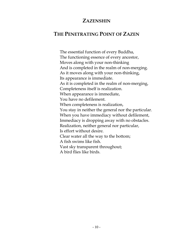## **ZAZENSHIN**

#### **THE PENETRATING POINT OF ZAZEN**

The essential function of every Buddha, The functioning essence of every ancestor, Moves along with your non-thinking And is completed in the realm of non-merging. As it moves along with your non-thinking, Its appearance is immediate. As it is completed in the realm of non-merging, Completeness itself is realization. When appearance is immediate, You have no defilement. When completeness is realization, You stay in neither the general nor the particular. When you have immediacy without defilement, Immediacy is dropping away with no obstacles. Realization, neither general nor particular, Is effort without desire. Clear water all the way to the bottom; A fish swims like fish. Vast sky transparent throughout; A bird flies like birds.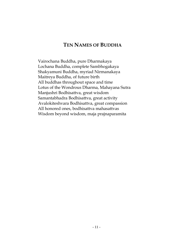#### **TEN NAMES OF BUDDHA**

Vairochana Buddha, pure Dharmakaya Lochana Buddha, complete Sambhogakaya Shakyamuni Buddha, myriad Nirmanakaya Maitreya Buddha, of future birth All buddhas throughout space and time Lotus of the Wondrous Dharma, Mahayana Sutra Manjushri Bodhisattva, great wisdom Samantabhadra Bodhisattva, great activity Avalokiteshvara Bodhisattva, great compassion All honored ones, bodhisattva mahasattvas Wisdom beyond wisdom, maja prajnaparamita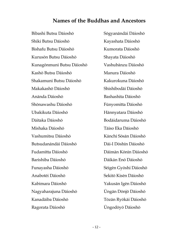# **Names of the Buddhas and Ancestors**

Bibashi Butsu Dāioshō Shiki Butsu Dāioshō Bishafu Butsu Dāioshō Kurusōn Butsu Dāioshō Kunagōnmuni Butsu Dāioshō Kashō Butsu Dāioshō Shakamuni Butsu Dāioshō Makakashō Dāioshō Anānda Dāioshō Shōnawashu Dāioshō Ubakikuta Dāioshō Dāitaka Dāioshō Mishaka Dāioshō Vashumitsu Dāioshō Butsudanāndāi Dāioshō Fudamītta Dāioshō Barishiba Dāioshō Funayasha Dāioshō Anabotēi Dāioshō Kabimara Dāioshō Nagyaharajuna Dāioshō Kanadāiba Dāioshō Ragorata Dāioshō

Sōgyanāndāi Dāioshō Kayashata Dāioshō Kumorata Dāioshō Shayata Dāioshō Vashubānzu Dāioshō Manura Dāioshō Kakurokuna Dāioshō Shishibodāi Dāioshō Bashashita Dāioshō Fūnyomitta Dāioshō Hānnyatara Dāioshō Bodāidaruma Dāioshō Tāiso Eka Dāioshō Kānchi Sōsān Dāioshō Dāi-I Dōshīn Dāioshō Dāimān Kōnīn Dāioshō Dāikān Enō Dāioshō Sēigēn Gyōshi Dāioshō Sekitō Kisēn Dāioshō Yakusān Igēn Dāioshō Ūngān Dōnjō Dāioshō Tōzān Ryōkāi Dāioshō Ūngodōyō Dāioshō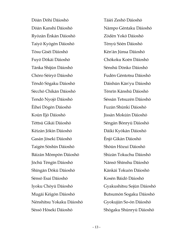Dōān Dōhi Dāioshō Dōān Kanshi Dāioshō Ryōzān Ēnkān Dāioshō Taiyō Kyōgēn Dāioshō Tōsu Gisēi Dāioshō Fuyō Dōkāi Dāioshō Tānka Shijūn Dāioshō Chōro Sēiryō Dāioshō Tēndō Sōgaku Dāioshō Sēcchō Chikān Dāioshō Tendō Nyojō Dāioshō Ēihei Dōgēn Dāioshō Koūn Ejō Dāioshō Tēttsū Gikāi Dāioshō Kēizān Jōkīn Dāioshō Gasān Jōseki Dāioshō Taigēn Sōshīn Dāioshō Bāizān Mōmpōn Dāioshō Jōchū Tēngīn Dāioshō Shīngān Dōkū Dāioshō Sēnsō Esai Dāioshō Iyoku Chōyū Dāioshō Mugāi Kēigōn Dāioshō Nēnshitsu Yokaku Dāioshō Sēssō Hōseki Dāioshō

Tāiēi Zeshō Dāioshō Nāmpo Gēntaku Dāioshō Zōdēn Yokō Dāioshō Tēnyū Sōēn Dāioshō Kēn'ān Jūnsa Dāioshō Chōkoku Koēn Dāioshō Sēnshū Dōnko Dāioshō Fudēn Gēntotsu Dāioshō Dāishūn Kān'yu Dāioshō Tēnrīn Kānshū Dāioshō Sēssān Tetsuzēn Dāioshō Fuzān Shūnki Dāioshō Jīssān Mokūin Dāioshō Sēngān Bōnryū Dāioshō Dāiki Kyōkān Dāioshō Ēnjō Gikān Dāioshō Shōūn Hōzui Dāioshō Shizān Tokuchu Dāioshō Nānsō Shīnshu Dāioshō Kānkāi Tokuōn Dāioshō Kosēn Bāidō Dāioshō Gyakushitsu Sojūn Dāioshō Butsumōn Sogaku Dāioshō Gyokujūn So-ōn Dāioshō Shōgaku Shūnryū Dāioshō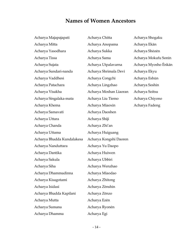# **Names of Women Ancestors**

| Acharya Majapajapati       | Acharya Chitta         |
|----------------------------|------------------------|
| Acharya Mitta              | Acharya Anopama        |
| Acharya Yasodhara          | Acharya Sukka          |
| Acharya Tissa              | Acharya Sama           |
| Acharya Sujata             | Acharya Utpalavarna    |
| Acharya Sundari-nanda      | Acharya Shrimala Devi  |
| Acharya Vaddhesi           | Acharya Congchi        |
| Acharya Patachara          | Acharya Lingzhao       |
| Acharya Visakha            | Acharya Moshan Liaoran |
| Acharya Singalaka-mata     | Acharya Liu Tiemo      |
| Acharya Khema              | Acharya Miaoxin        |
| Acharya Samavati           | Acharya Daoshen        |
| Acharya Uttara             | Acharya Shiji          |
| Acharya Chanda             | Acharya Zhi'an         |
| Acharya Uttama             | Acharya Huiguang       |
| Acharya Bhadda Kundalakesa | Acharya Kongshi Daoren |
| Acharya Nanduttara         | Acharya Yu Daopo       |
| Acharya Dantika            | Acharya Huiwen         |
| Acharya Sakula             | Acharya Ubbiri         |
| Acharya Siha               | Acharya Wenzhao        |
| Acharya Dhammadinna        | Acharya Miaodao        |
| Acharya Kisagotami         | Acharya Zhitong        |
| Acharya Isidasi            | Acharya Zēnshīn        |
| Acharya Bhadda Kapilani    | Acharya Zēnzo          |
| Acharya Mutta              | Acharya Ezēn           |
| Acharya Sumana             | Acharya Ryonēn         |
| Acharya Dhamma             | Acharya Egi            |

Acharya Shogaku Acharya Ekān Acharya Shōzēn Acharya Mokufu Sonīn Acharya Myosho Ēnkān Acharya Ekyu Acharya Eshūn Acharya Soshin Acharya Soitsu Acharya Chiyono Acharya Fadeng